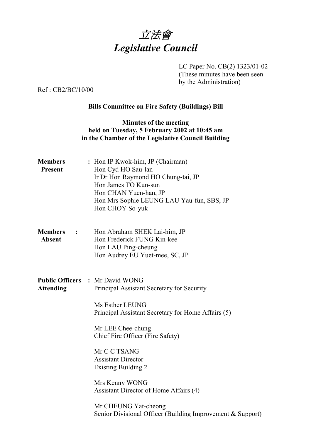

LC Paper No. CB(2) 1323/01-02 (These minutes have been seen by the Administration)

Ref : CB2/BC/10/00

## **Bills Committee on Fire Safety (Buildings) Bill**

## **Minutes of the meeting held on Tuesday, 5 February 2002 at 10:45 am in the Chamber of the Legislative Council Building**

| <b>Members</b><br><b>Present</b>                        | : Hon IP Kwok-him, JP (Chairman)<br>Hon Cyd HO Sau-lan<br>Ir Dr Hon Raymond HO Chung-tai, JP<br>Hon James TO Kun-sun<br>Hon CHAN Yuen-han, JP<br>Hon Mrs Sophie LEUNG LAU Yau-fun, SBS, JP<br>Hon CHOY So-yuk |
|---------------------------------------------------------|---------------------------------------------------------------------------------------------------------------------------------------------------------------------------------------------------------------|
| <b>Members</b><br>$\ddot{\phantom{1}}$<br><b>Absent</b> | Hon Abraham SHEK Lai-him, JP<br>Hon Frederick FUNG Kin-kee<br>Hon LAU Ping-cheung<br>Hon Audrey EU Yuet-mee, SC, JP                                                                                           |
| <b>Attending</b>                                        | <b>Public Officers : Mr David WONG</b><br>Principal Assistant Secretary for Security                                                                                                                          |
|                                                         | Ms Esther LEUNG<br>Principal Assistant Secretary for Home Affairs (5)                                                                                                                                         |
|                                                         | Mr LEE Chee-chung<br>Chief Fire Officer (Fire Safety)                                                                                                                                                         |
|                                                         | Mr C C TSANG<br><b>Assistant Director</b><br><b>Existing Building 2</b>                                                                                                                                       |
|                                                         | Mrs Kenny WONG<br>Assistant Director of Home Affairs (4)                                                                                                                                                      |
|                                                         | Mr CHEUNG Yat-cheong<br>Senior Divisional Officer (Building Improvement & Support)                                                                                                                            |
|                                                         |                                                                                                                                                                                                               |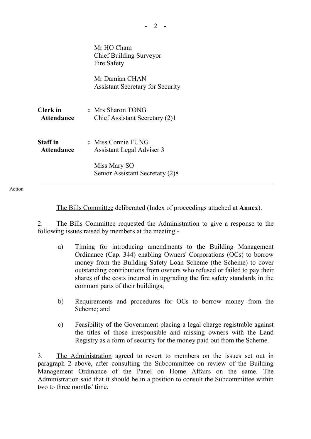|                               | Mr HO Cham<br><b>Chief Building Surveyor</b><br>Fire Safety |
|-------------------------------|-------------------------------------------------------------|
|                               | Mr Damian CHAN<br><b>Assistant Secretary for Security</b>   |
| Clerk in<br><b>Attendance</b> | : Mrs Sharon TONG<br>Chief Assistant Secretary (2)1         |
| Staff in<br><b>Attendance</b> | : Miss Connie FUNG<br>Assistant Legal Adviser 3             |
|                               | Miss Mary SO<br>Senior Assistant Secretary (2)8             |

Action

The Bills Committee deliberated (Index of proceedings attached at **Annex**).

2. The Bills Committee requested the Administration to give a response to the following issues raised by members at the meeting -

- a) Timing for introducing amendments to the Building Management Ordinance (Cap. 344) enabling Owners' Corporations (OCs) to borrow money from the Building Safety Loan Scheme (the Scheme) to cover outstanding contributions from owners who refused or failed to pay their shares of the costs incurred in upgrading the fire safety standards in the common parts of their buildings;
- b) Requirements and procedures for OCs to borrow money from the Scheme; and
- c) Feasibility of the Government placing a legal charge registrable against the titles of those irresponsible and missing owners with the Land Registry as a form of security for the money paid out from the Scheme.

3. The Administration agreed to revert to members on the issues set out in paragraph 2 above, after consulting the Subcommittee on review of the Building Management Ordinance of the Panel on Home Affairs on the same. The Administration said that it should be in a position to consult the Subcommittee within two to three months' time.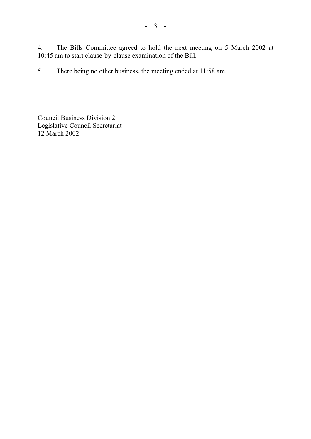4. The Bills Committee agreed to hold the next meeting on 5 March 2002 at 10:45 am to start clause-by-clause examination of the Bill.

5. There being no other business, the meeting ended at 11:58 am.

Council Business Division 2 Legislative Council Secretariat 12 March 2002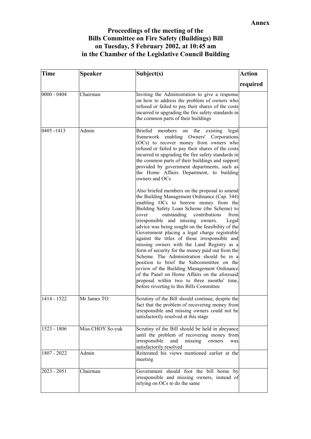## **Proceedings of the meeting of the Bills Committee on Fire Safety (Buildings) Bill on Tuesday, 5 February 2002, at 10:45 am in the Chamber of the Legislative Council Building**

| <b>Time</b>   | <b>Speaker</b>   | Subject(s)                                                                                                                                                                                                                                                                                                                                                                                                                                                                                                                                                                                                                                                                                                                                                                                                                        | <b>Action</b> |
|---------------|------------------|-----------------------------------------------------------------------------------------------------------------------------------------------------------------------------------------------------------------------------------------------------------------------------------------------------------------------------------------------------------------------------------------------------------------------------------------------------------------------------------------------------------------------------------------------------------------------------------------------------------------------------------------------------------------------------------------------------------------------------------------------------------------------------------------------------------------------------------|---------------|
|               |                  |                                                                                                                                                                                                                                                                                                                                                                                                                                                                                                                                                                                                                                                                                                                                                                                                                                   | required      |
| $0000 - 0404$ | Chairman         | Inviting the Administration to give a response<br>on how to address the problem of owners who<br>refused or failed to pay their shares of the costs<br>incurred in upgrading the fire safety standards in<br>the common parts of their buildings                                                                                                                                                                                                                                                                                                                                                                                                                                                                                                                                                                                  |               |
| 0405-1413     | Admin            | members<br>the existing<br>Briefed<br>legal<br>on<br>framework enabling Owners' Corporations<br>(OCs) to recover money from owners who<br>refused or failed to pay their shares of the costs<br>incurred in upgrading the fire safety standards in<br>the common parts of their buildings and support<br>provided by government departments, such as<br>the Home Affairs Department, to building<br>owners and OCs                                                                                                                                                                                                                                                                                                                                                                                                                |               |
|               |                  | Also briefed members on the proposal to amend<br>the Building Management Ordinance (Cap. 344)<br>enabling OCs to borrow money from the<br>Building Safety Loan Scheme (the Scheme) to<br>cover<br>outstanding<br>contributions<br>from<br>irresponsible and missing owners.<br>Legal<br>advice was being sought on the feasibility of the<br>Government placing a legal charge registrable<br>against the titles of those irresponsible and<br>missing owners with the Land Registry as a<br>form of security for the money paid out from the<br>Scheme. The Administration should be in a<br>position to brief the Subcommittee on the<br>review of the Building Management Ordinance<br>of the Panel on Home Affairs on the aforesaid<br>proposal within two to three months' time,<br>before reverting to this Bills Committee |               |
| 1414 - 1522   | Mr James TO      | Scrutiny of the Bill should continue, despite the<br>fact that the problem of recovering money from<br>irresponsible and missing owners could not be<br>satisfactorily resolved at this stage                                                                                                                                                                                                                                                                                                                                                                                                                                                                                                                                                                                                                                     |               |
| 1523 - 1806   | Miss CHOY So-yuk | Scrutiny of the Bill should be held in abeyance<br>until the problem of recovering money from<br>irresponsible<br>and<br>missing<br>owners<br>was<br>satisfactorily resolved                                                                                                                                                                                                                                                                                                                                                                                                                                                                                                                                                                                                                                                      |               |
| 1807 - 2022   | Admin            | Reiterated his views mentioned earlier at the<br>meeting                                                                                                                                                                                                                                                                                                                                                                                                                                                                                                                                                                                                                                                                                                                                                                          |               |
| $2023 - 2051$ | Chairman         | Government should foot the bill borne by<br>irresponsible and missing owners, instead of<br>relying on OCs to do the same                                                                                                                                                                                                                                                                                                                                                                                                                                                                                                                                                                                                                                                                                                         |               |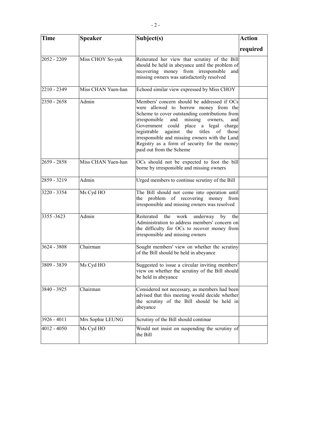| <b>Time</b>   | <b>Speaker</b>     | Subject(s)                                                                                                                                                                                                                                                                                                                                                                                                 | <b>Action</b> |
|---------------|--------------------|------------------------------------------------------------------------------------------------------------------------------------------------------------------------------------------------------------------------------------------------------------------------------------------------------------------------------------------------------------------------------------------------------------|---------------|
|               |                    |                                                                                                                                                                                                                                                                                                                                                                                                            | required      |
| $2052 - 2209$ | Miss CHOY So-yuk   | Reiterated her view that scrutiny of the Bill<br>should be held in abeyance until the problem of<br>recovering money from irresponsible<br>and<br>missing owners was satisfactorily resolved                                                                                                                                                                                                               |               |
| 2210 - 2349   | Miss CHAN Yuen-han | Echoed similar view expressed by Miss CHOY                                                                                                                                                                                                                                                                                                                                                                 |               |
| 2350 - 2658   | Admin              | Members' concern should be addressed if OCs<br>were allowed to borrow money from the<br>Scheme to cover outstanding contributions from<br>and missing<br>irresponsible<br>owners,<br>and<br>Government could place a legal charge<br>registrable against the titles of those<br>irresponsible and missing owners with the Land<br>Registry as a form of security for the money<br>paid out from the Scheme |               |
| 2659 - 2858   | Miss CHAN Yuen-han | OCs should not be expected to foot the bill<br>borne by irresponsible and missing owners                                                                                                                                                                                                                                                                                                                   |               |
| 2859 - 3219   | Admin              | Urged members to continue scrutiny of the Bill                                                                                                                                                                                                                                                                                                                                                             |               |
| 3220 - 3354   | Ms Cyd HO          | The Bill should not come into operation until<br>the problem of recovering money from<br>irresponsible and missing owners was resolved                                                                                                                                                                                                                                                                     |               |
| 3355 - 3623   | Admin              | Reiterated the work underway<br>by the<br>Administration to address members' concern on<br>the difficulty for OCs to recover money from<br>irresponsible and missing owners                                                                                                                                                                                                                                |               |
| 3624 - 3808   | Chairman           | Sought members' view on whether the scrutiny<br>of the Bill should be held in abeyance                                                                                                                                                                                                                                                                                                                     |               |
| 3809 - 3839   | Ms Cyd HO          | Suggested to issue a circular inviting members'<br>view on whether the scrutiny of the Bill should<br>be held in abeyance                                                                                                                                                                                                                                                                                  |               |
| 3840 - 3925   | Chairman           | Considered not necessary, as members had been<br>advised that this meeting would decide whether<br>the scrutiny of the Bill should be held in<br>abeyance                                                                                                                                                                                                                                                  |               |
| 3926 - 4011   | Mrs Sophie LEUNG   | Scrutiny of the Bill should continue                                                                                                                                                                                                                                                                                                                                                                       |               |
| 4012 - 4050   | Ms Cyd HO          | Would not insist on suspending the scrutiny of<br>the Bill                                                                                                                                                                                                                                                                                                                                                 |               |